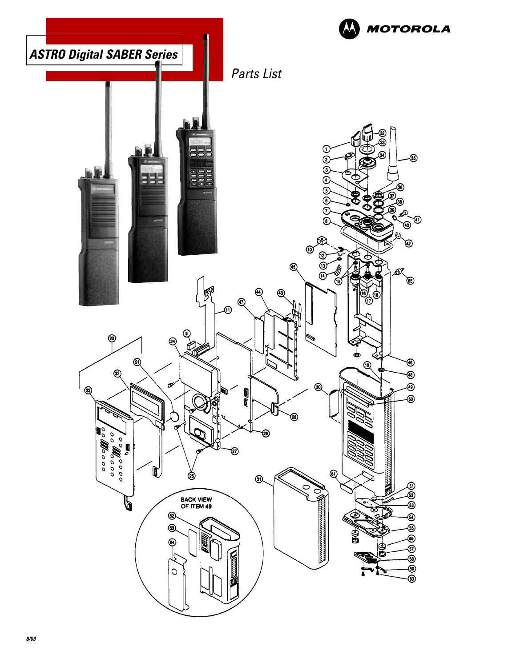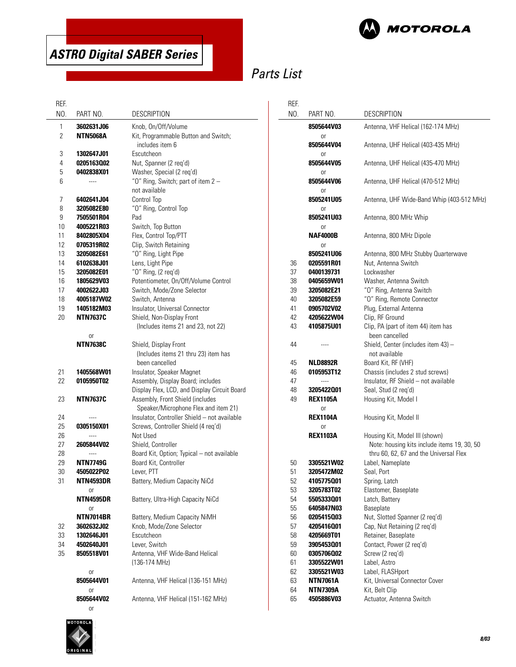

# Parts List

#### REF.

| REF.           |                          |                                              | REF.     |                          |                                             |
|----------------|--------------------------|----------------------------------------------|----------|--------------------------|---------------------------------------------|
| NO.            | PART NO.                 | <b>DESCRIPTION</b>                           | NO.      | PART NO.                 | <b>DESCRIPTION</b>                          |
| 1              | 3602631J06               | Knob, On/Off/Volume                          |          | 8505644V03               | Antenna, VHF Helical (162-174 MHz)          |
| $\overline{2}$ | <b>NTN5068A</b>          | Kit, Programmable Button and Switch;         |          | 0r                       |                                             |
|                |                          | includes item 6                              |          | 8505644V04               | Antenna, UHF Helical (403-435 MHz)          |
| 3              | 1302647J01               | Escutcheon                                   |          | 0r                       |                                             |
| 4              | 0205163002               | Nut, Spanner (2 req'd)                       |          | 8505644V05               | Antenna, UHF Helical (435-470 MHz)          |
| 5              | 0402838X01               | Washer, Special (2 req'd)                    |          | 0r                       |                                             |
| 6              | $\overline{a}$           | "O" Ring, Switch; part of item 2 -           |          | 8505644V06               | Antenna, UHF Helical (470-512 MHz)          |
|                |                          | not available                                |          | 0r                       |                                             |
| 7              | 6402641J04               | Control Top                                  |          | 8505241U05               | Antenna, UHF Wide-Band Whip (403-512 MHz)   |
| 8              | 3205082E80               | "O" Ring, Control Top                        |          | 0r                       |                                             |
| 9              | 7505501R04               | Pad                                          |          | 8505241U03               | Antenna, 800 MHz Whip                       |
| 10             | 4005221R03               | Switch, Top Button                           |          | 0r                       |                                             |
| 11             | 8402805X04               | Flex, Control Top/PTT                        |          | <b>NAF4000B</b>          | Antenna, 800 MHz Dipole                     |
| 12             | 0705319R02               | Clip, Switch Retaining                       |          | <sub>or</sub>            |                                             |
| 13             | 3205082E61               | "O" Ring, Light Pipe                         |          | 8505241U06               | Antenna, 800 MHz Stubby Quarterwave         |
| 14<br>15       | 6102638J01<br>3205082E01 | Lens, Light Pipe<br>"0" Ring, (2 req'd)      | 36<br>37 | 0205591R01<br>0400139731 | Nut, Antenna Switch<br>Lockwasher           |
| 16             | 1805629V03               | Potentiometer, On/Off/Volume Control         | 38       | 0405659W01               | Washer, Antenna Switch                      |
| 17             | 4002622J03               | Switch, Mode/Zone Selector                   | 39       | 3205082E21               | "O" Ring, Antenna Switch                    |
| 18             | 4005187W02               | Switch, Antenna                              | 40       | 3205082E59               | "O" Ring, Remote Connector                  |
| 19             | 1405182M03               | Insulator, Universal Connector               | 41       | 0905702V02               | Plug, External Antenna                      |
| 20             | <b>NTN7637C</b>          | Shield, Non-Display Front                    | 42       | 4205622W04               | Clip, RF Ground                             |
|                |                          | (Includes items 21 and 23, not 22)           | 43       | 4105875U01               | Clip, PA (part of item 44) item has         |
|                | 0r                       |                                              |          |                          | been cancelled                              |
|                | <b>NTN7638C</b>          | Shield, Display Front                        | 44       | ----                     | Shield, Center (includes item 43) -         |
|                |                          | (Includes items 21 thru 23) item has         |          |                          | not available                               |
|                |                          | been cancelled                               | 45       | <b>NLD8892R</b>          | Board Kit, RF (VHF)                         |
| 21             | 1405568W01               | Insulator, Speaker Magnet                    | 46       | 0105953T12               | Chassis (includes 2 stud screws)            |
| 22             | 0105950T02               | Assembly, Display Board; includes            | 47       | ----                     | Insulator, RF Shield - not available        |
|                |                          | Display Flex, LCD, and Display Circuit Board | 48       | 3205422001               | Seal, Stud (2 req'd)                        |
| 23             | <b>NTN7637C</b>          | Assembly, Front Shield (includes             | 49       | <b>REX1105A</b>          | Housing Kit, Model I                        |
|                |                          | Speaker/Microphone Flex and item 21)         |          | 0r                       |                                             |
| 24             | ----                     | Insulator, Controller Shield - not available |          | <b>REX1104A</b>          | Housing Kit, Model II                       |
| 25             | 0305150X01               | Screws, Controller Shield (4 req'd)          |          | or                       |                                             |
| 26             | ----                     | Not Used                                     |          | <b>REX1103A</b>          | Housing Kit, Model III (shown)              |
| 27             | <b>2605844V02</b>        | Shield, Controller                           |          |                          | Note: housing kits include items 19, 30, 50 |
| 28             | $\cdots$                 | Board Kit, Option; Typical - not available   |          |                          | thru 60, 62, 67 and the Universal Flex      |
| 29             | <b>NTN7749G</b>          | Board Kit, Controller                        | 50       | 3305521W02               | Label, Nameplate                            |
| 30             | 4505022P02               | Lever, PTT                                   | 51       | 3205472M02               | Seal, Port                                  |
| 31             | NTN4593DR                | Battery, Medium Capacity NiCd                | 52<br>53 | 4105775001<br>3205783T02 | Spring, Latch<br>Elastomer, Baseplate       |
|                | or<br><b>NTN4595DR</b>   | Battery, Ultra-High Capacity NiCd            | 54       | 5505333001               | Latch, Battery                              |
|                | 0r                       |                                              | 55       | 6405847N03               | Baseplate                                   |
|                | <b>NTN7014BR</b>         | Battery, Medium Capacity NiMH                | 56       | 0205415003               | Nut, Slotted Spanner (2 req'd)              |
| 32             | 3602632J02               | Knob, Mode/Zone Selector                     | 57       | 4205416001               | Cap, Nut Retaining (2 req'd)                |
| 33             | 1302646J01               | Escutcheon                                   | 58       | 4205669T01               | Retainer, Baseplate                         |
| 34             | 4502640J01               | Lever, Switch                                | 59       | 3905453001               | Contact, Power (2 req'd)                    |
| 35             | 8505518V01               | Antenna, VHF Wide-Band Helical               | 60       | 0305706002               | Screw (2 req'd)                             |
|                |                          | (136-174 MHz)                                | 61       | 3305522W01               | Label, Astro                                |
|                | or                       |                                              | 62       | 3305521W03               | Label, FLASHport                            |
|                | 8505644V01               | Antenna, VHF Helical (136-151 MHz)           | 63       | <b>NTN7061A</b>          | Kit, Universal Connector Cover              |
|                | or                       |                                              | 64       | <b>NTN7309A</b>          | Kit, Belt Clip                              |
|                | 8505644V02               | Antenna, VHF Helical (151-162 MHz)           | 65       | 4505886V03               | Actuator, Antenna Switch                    |
|                | or                       |                                              |          |                          |                                             |

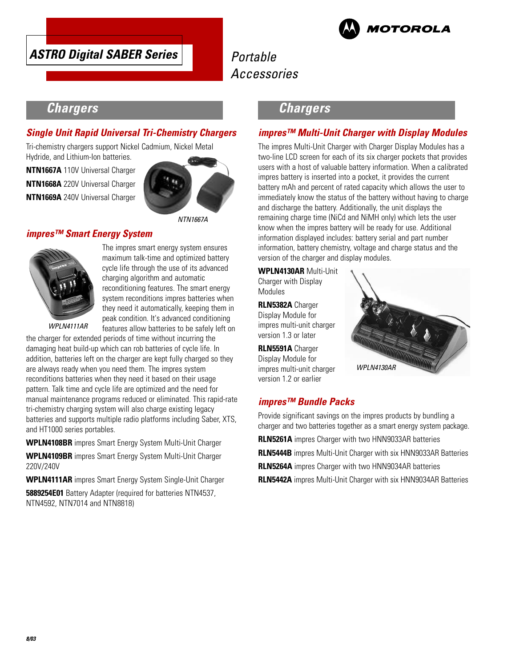



# Portable Accessories

# **Chargers**

### **Single Unit Rapid Universal Tri-Chemistry Chargers**

Tri-chemistry chargers support Nickel Cadmium, Nickel Metal Hydride, and Lithium-Ion batteries.

**NTN1667A** 110V Universal Charger **NTN1668A** 220V Universal Charger **NTN1669A** 240V Universal Charger



### **impres™ Smart Energy System**



The impres smart energy system ensures maximum talk-time and optimized battery cycle life through the use of its advanced charging algorithm and automatic reconditioning features. The smart energy system reconditions impres batteries when they need it automatically, keeping them in peak condition. It's advanced conditioning features allow batteries to be safely left on

WPLN4111AR

the charger for extended periods of time without incurring the damaging heat build-up which can rob batteries of cycle life. In addition, batteries left on the charger are kept fully charged so they are always ready when you need them. The impres system reconditions batteries when they need it based on their usage pattern. Talk time and cycle life are optimized and the need for manual maintenance programs reduced or eliminated. This rapid-rate tri-chemistry charging system will also charge existing legacy batteries and supports multiple radio platforms including Saber, XTS, and HT1000 series portables.

**WPLN4108BR** impres Smart Energy System Multi-Unit Charger

**WPLN4109BR** impres Smart Energy System Multi-Unit Charger 220V/240V

**WPLN4111AR** impres Smart Energy System Single-Unit Charger

**5889254E01** Battery Adapter (required for batteries NTN4537, NTN4592, NTN7014 and NTN8818)

## **Chargers**

### **impres™ Multi-Unit Charger with Display Modules**

The impres Multi-Unit Charger with Charger Display Modules has a two-line LCD screen for each of its six charger pockets that provides users with a host of valuable battery information. When a calibrated impres battery is inserted into a pocket, it provides the current battery mAh and percent of rated capacity which allows the user to immediately know the status of the battery without having to charge and discharge the battery. Additionally, the unit displays the remaining charge time (NiCd and NiMH only) which lets the user know when the impres battery will be ready for use. Additional information displayed includes: battery serial and part number information, battery chemistry, voltage and charge status and the version of the charger and display modules.

**WPLN4130AR** Multi-Unit Charger with Display Modules

**RLN5382A** Charger Display Module for impres multi-unit charger version 1.3 or later

**RLN5591A** Charger Display Module for impres multi-unit charger version 1.2 or earlier



## **impres™ Bundle Packs**

Provide significant savings on the impres products by bundling a charger and two batteries together as a smart energy system package. **RLN5261A** impres Charger with two HNN9033AR batteries **RLN5444B** impres Multi-Unit Charger with six HNN9033AR Batteries **RLN5264A** impres Charger with two HNN9034AR batteries

**RLN5442A** impres Multi-Unit Charger with six HNN9034AR Batteries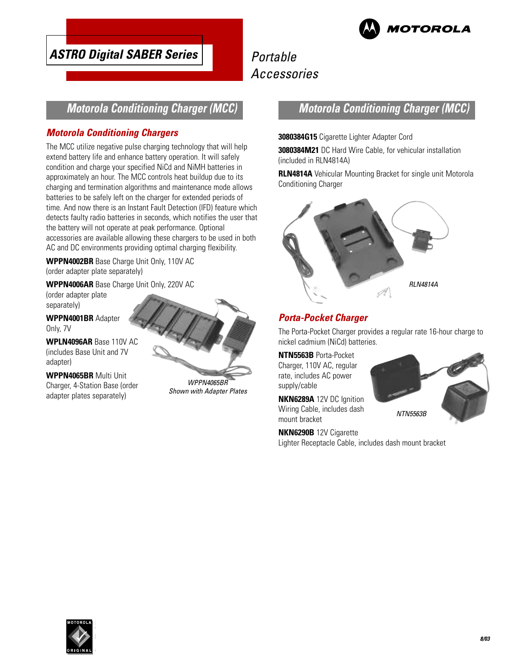

# Portable Accessories

## **Motorola Conditioning Charger (MCC)**

### **Motorola Conditioning Chargers**

The MCC utilize negative pulse charging technology that will help extend battery life and enhance battery operation. It will safely condition and charge your specified NiCd and NiMH batteries in approximately an hour. The MCC controls heat buildup due to its charging and termination algorithms and maintenance mode allows batteries to be safely left on the charger for extended periods of time. And now there is an Instant Fault Detection (IFD) feature which detects faulty radio batteries in seconds, which notifies the user that the battery will not operate at peak performance. Optional accessories are available allowing these chargers to be used in both AC and DC environments providing optimal charging flexibility.

**WPPN4002BR** Base Charge Unit Only, 110V AC (order adapter plate separately)

**WPPN4006AR** Base Charge Unit Only, 220V AC

(order adapter plate separately)

**WPPN4001BR** Adapter Only, 7V

**WPLN4096AR** Base 110V AC (includes Base Unit and 7V adapter)

**WPPN4065BR** Multi Unit Charger, 4-Station Base (order adapter plates separately)

WPPN4065BR Shown with Adapter Plates

## **Motorola Conditioning Charger (MCC)**

#### **3080384G15** Cigarette Lighter Adapter Cord

**3080384M21** DC Hard Wire Cable, for vehicular installation (included in RLN4814A)

**RLN4814A** Vehicular Mounting Bracket for single unit Motorola Conditioning Charger



### **Porta-Pocket Charger**

The Porta-Pocket Charger provides a regular rate 16-hour charge to nickel cadmium (NiCd) batteries.

**NTN5563B** Porta-Pocket Charger, 110V AC, regular rate, includes AC power supply/cable

**NKN6289A** 12V DC Ignition Wiring Cable, includes dash mount bracket

**NKN6290B** 12V Cigarette Lighter Receptacle Cable, includes dash mount bracket



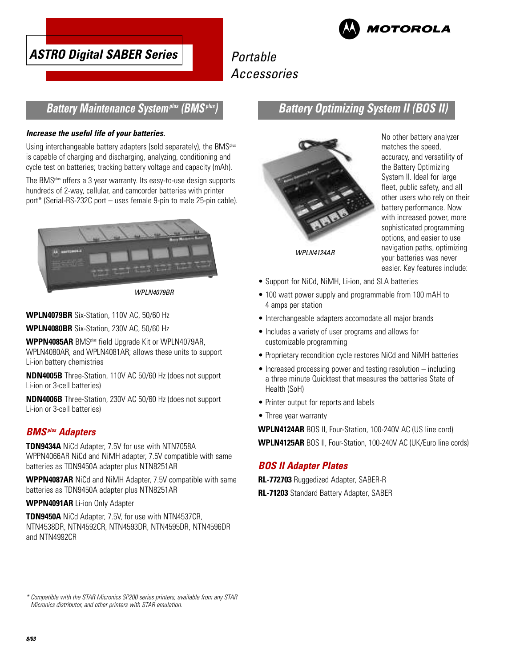



# Portable Accessories

### **Battery Maintenance Systemplus (BMSplus)**

#### **Increase the useful life of your batteries.**

Using interchangeable battery adapters (sold separately), the BMS<sup>plus</sup> is capable of charging and discharging, analyzing, conditioning and cycle test on batteries; tracking battery voltage and capacity (mAh).

The BMSplus offers a 3 year warranty. Its easy-to-use design supports hundreds of 2-way, cellular, and camcorder batteries with printer port\* (Serial-RS-232C port – uses female 9-pin to male 25-pin cable).



WPLN4079BR

**WPLN4079BR** Six-Station, 110V AC, 50/60 Hz

**WPLN4080BR** Six-Station, 230V AC, 50/60 Hz

**WPPN4085AR** BMSplus field Upgrade Kit or WPLN4079AR, WPLN4080AR, and WPLN4081AR; allows these units to support Li-ion battery chemistries

**NDN4005B** Three-Station, 110V AC 50/60 Hz (does not support Li-ion or 3-cell batteries)

**NDN4006B** Three-Station, 230V AC 50/60 Hz (does not support Li-ion or 3-cell batteries)

### **BMSplus Adapters**

**TDN9434A** NiCd Adapter, 7.5V for use with NTN7058A WPPN4066AR NiCd and NiMH adapter, 7.5V compatible with same batteries as TDN9450A adapter plus NTN8251AR

**WPPN4087AR** NiCd and NiMH Adapter, 7.5V compatible with same batteries as TDN9450A adapter plus NTN8251AR

#### **WPPN4091AR** Li-ion Only Adapter

**TDN9450A** NiCd Adapter, 7.5V, for use with NTN4537CR, NTN4538DR, NTN4592CR, NTN4593DR, NTN4595DR, NTN4596DR and NTN4992CR

## **Battery Optimizing System II (BOS II)**



No other battery analyzer matches the speed, accuracy, and versatility of the Battery Optimizing System II. Ideal for large fleet, public safety, and all other users who rely on their battery performance. Now with increased power, more sophisticated programming options, and easier to use navigation paths, optimizing your batteries was never easier. Key features include:

- Support for NiCd, NiMH, Li-ion, and SLA batteries
- 100 watt power supply and programmable from 100 mAH to 4 amps per station
- Interchangeable adapters accomodate all major brands
- Includes a variety of user programs and allows for customizable programming
- Proprietary recondition cycle restores NiCd and NiMH batteries
- Increased processing power and testing resolution including a three minute Quicktest that measures the batteries State of Health (SoH)
- Printer output for reports and labels
- Three year warranty

**WPLN4124AR** BOS II, Four-Station, 100-240V AC (US line cord) **WPLN4125AR** BOS II, Four-Station, 100-240V AC (UK/Euro line cords)

### **BOS II Adapter Plates**

**RL-772703** Ruggedized Adapter, SABER-R **RL-71203** Standard Battery Adapter, SABER

\* Compatible with the STAR Micronics SP200 series printers, available from any STAR Micronics distributor, and other printers with STAR emulation.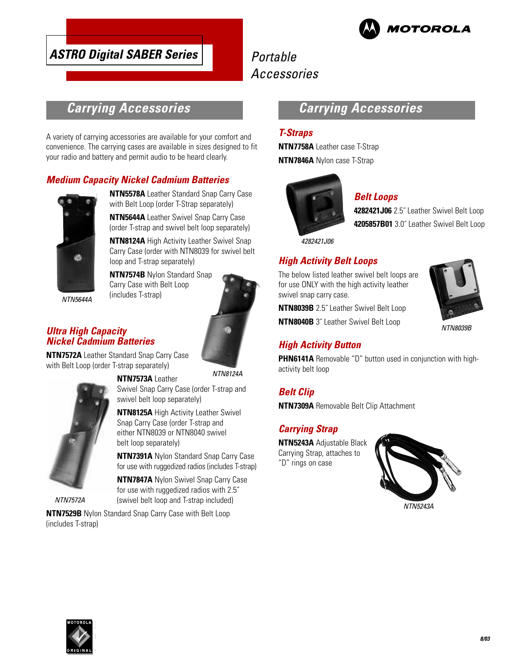

# Portable Accessories

# **Carrying Accessories**

A variety of carrying accessories are available for your comfort and convenience. The carrying cases are available in sizes designed to fit your radio and battery and permit audio to be heard clearly.

### **Medium Capacity Nickel Cadmium Batteries**



**NTN5578A** Leather Standard Snap Carry Case with Belt Loop (order T-Strap separately)

**NTN5644A** Leather Swivel Snap Carry Case (order T-strap and swivel belt loop separately)

**NTN8124A** High Activity Leather Swivel Snap Carry Case (order with NTN8039 for swivel belt loop and T-strap separately)

**NTN7574B** Nylon Standard Snap Carry Case with Belt Loop (includes T-strap)

### **Ultra High Capacity Nickel Cadmium Batteries**

**NTN7572A** Leather Standard Snap Carry Case with Belt Loop (order T-strap separately)

#### **NTN7573A** Leather

NTN8124A



NTN7572A

Swivel Snap Carry Case (order T-strap and swivel belt loop separately)

**NTN8125A** High Activity Leather Swivel Snap Carry Case (order T-strap and either NTN8039 or NTN8040 swivel belt loop separately)

**NTN7391A** Nylon Standard Snap Carry Case for use with ruggedized radios (includes T-strap)

**NTN7847A** Nylon Swivel Snap Carry Case for use with ruggedized radios with 2.5˝ (swivel belt loop and T-strap included)

**NTN7529B** Nylon Standard Snap Carry Case with Belt Loop (includes T-strap)

# **Carrying Accessories**

### **T-Straps**

**NTN7758A** Leather case T-Strap **NTN7846A** Nylon case T-Strap



### **Belt Loops**

**4282421J06** 2.5˝ Leather Swivel Belt Loop **4205857B01** 3.0˝ Leather Swivel Belt Loop

4282421J06

## **High Activity Belt Loops**

The below listed leather swivel belt loops are for use ONLY with the high activity leather swivel snap carry case.

**NTN8039B** 2.5˝ Leather Swivel Belt Loop

**NTN8040B** 3˝ Leather Swivel Belt Loop

### **High Activity Button**

**PHN6141A** Removable "D" button used in conjunction with highactivity belt loop

**Belt Clip**

**NTN7309A** Removable Belt Clip Attachment

### **Carrying Strap**

**NTN5243A** Adjustable Black Carrying Strap, attaches to "D" rings on case



NTN5243A



NTN8039B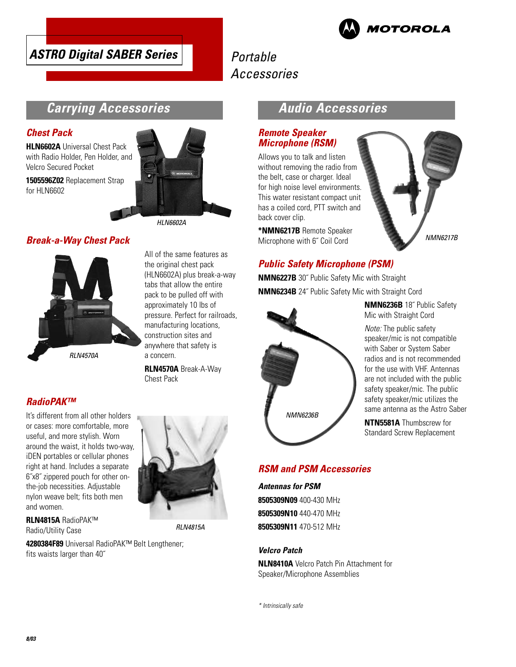

# Portable Accessories



## **Carrying Accessories**

#### **Chest Pack**

**HLN6602A** Universal Chest Pack with Radio Holder, Pen Holder, and Velcro Secured Pocket

**1505596Z02** Replacement Strap for HLN6602



### **Break-a-Way Chest Pack**



All of the same features as the original chest pack (HLN6602A) plus break-a-way tabs that allow the entire pack to be pulled off with approximately 10 lbs of pressure. Perfect for railroads, manufacturing locations, construction sites and anywhere that safety is a concern.

**RLN4570A** Break-A-Way Chest Pack

### **RadioPAK™**

It's different from all other holders or cases: more comfortable, more useful, and more stylish. Worn around the waist, it holds two-way, iDEN portables or cellular phones right at hand. Includes a separate 6˝x8˝ zippered pouch for other onthe-job necessities. Adjustable nylon weave belt; fits both men and women.



RLN4815A

**RLN4815A** RadioPAK™ Radio/Utility Case

**4280384F89** Universal RadioPAK™ Belt Lengthener; fits waists larger than 40˝

## **Audio Accessories**

### **Remote Speaker Microphone (RSM)**

Allows you to talk and listen without removing the radio from the belt, case or charger. Ideal for high noise level environments. This water resistant compact unit has a coiled cord, PTT switch and back cover clip.

**\*NMN6217B** Remote Speaker Microphone with 6˝ Coil Cord



### **Public Safety Microphone (PSM)**

**NMN6227B** 30˝ Public Safety Mic with Straight **NMN6234B** 24˝ Public Safety Mic with Straight Cord



**NMN6236B** 18˝ Public Safety Mic with Straight Cord

Note: The public safety speaker/mic is not compatible with Saber or System Saber radios and is not recommended for the use with VHF. Antennas are not included with the public safety speaker/mic. The public safety speaker/mic utilizes the same antenna as the Astro Saber

**NTN5581A** Thumbscrew for Standard Screw Replacement

### **RSM and PSM Accessories**

**Antennas for PSM 8505309N09** 400-430 MHz **8505309N10** 440-470 MHz **8505309N11** 470-512 MHz

#### **Velcro Patch**

**NLN8410A** Velcro Patch Pin Attachment for Speaker/Microphone Assemblies

\* Intrinsically safe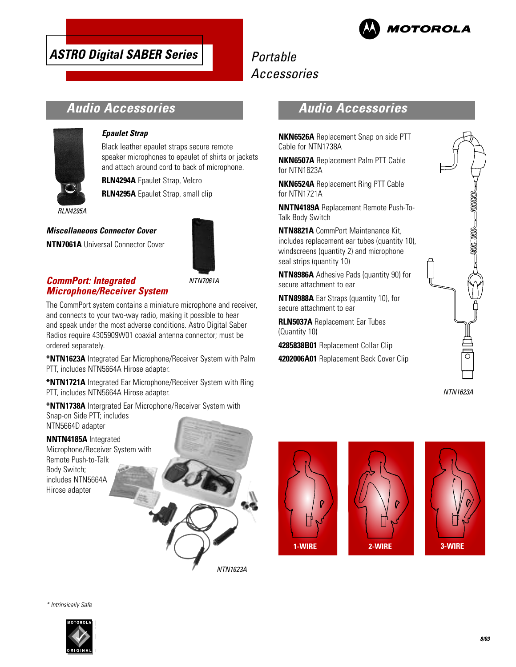

# Portable Accessories

# **Audio Accessories**



#### **Epaulet Strap**

Black leather epaulet straps secure remote speaker microphones to epaulet of shirts or jackets and attach around cord to back of microphone.

**RLN4294A** Epaulet Strap, Velcro

**RLN4295A** Epaulet Strap, small clip

**Miscellaneous Connector Cover**

**NTN7061A** Universal Connector Cover



### **CommPort: Integrated Microphone/Receiver System**

NTN7061A

The CommPort system contains a miniature microphone and receiver, and connects to your two-way radio, making it possible to hear and speak under the most adverse conditions. Astro Digital Saber Radios require 4305909W01 coaxial antenna connector; must be ordered separately.

**\*NTN1623A** Integrated Ear Microphone/Receiver System with Palm PTT, includes NTN5664A Hirose adapter.

**\*NTN1721A** Integrated Ear Microphone/Receiver System with Ring PTT, includes NTN5664A Hirose adapter.

**\*NTN1738A** Intergrated Ear Microphone/Receiver System with Snap-on Side PTT; includes NTN5664D adapter

### **NNTN4185A** Integrated

Microphone/Receiver System with Remote Push-to-Talk Body Switch; includes NTN5664A Hirose adapter



## **Audio Accessories**

**NKN6526A** Replacement Snap on side PTT Cable for NTN1738A

**NKN6507A** Replacement Palm PTT Cable for NTN1623A

**NKN6524A** Replacement Ring PTT Cable for NTN1721A

**NNTN4189A** Replacement Remote Push-To-Talk Body Switch

**NTN8821A** CommPort Maintenance Kit, includes replacement ear tubes (quantity 10), windscreens (quantity 2) and microphone seal strips (quantity 10)

**NTN8986A** Adhesive Pads (quantity 90) for secure attachment to ear

**NTN8988A** Ear Straps (quantity 10), for secure attachment to ear

**RLN5037A** Replacement Ear Tubes (Quantity 10)

**4285838B01** Replacement Collar Clip

**4202006A01** Replacement Back Cover Clip



NTN1623A







\* Intrinsically Safe

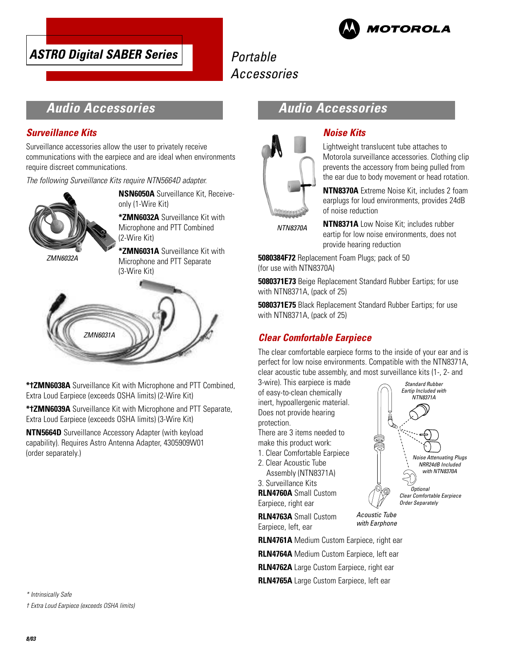# Portable Accessories



# **Audio Accessories**

### **Surveillance Kits**

Surveillance accessories allow the user to privately receive communications with the earpiece and are ideal when environments require discreet communications.

The following Surveillance Kits require NTN5664D adapter.



**NSN6050A** Surveillance Kit, Receiveonly (1-Wire Kit)

**\*ZMN6032A** Surveillance Kit with Microphone and PTT Combined (2-Wire Kit)

ZMN6032A

**\*ZMN6031A** Surveillance Kit with

Microphone and PTT Separate (3-Wire Kit)



**\*†ZMN6038A** Surveillance Kit with Microphone and PTT Combined, Extra Loud Earpiece (exceeds OSHA limits) (2-Wire Kit)

**\*†ZMN6039A** Surveillance Kit with Microphone and PTT Separate, Extra Loud Earpiece (exceeds OSHA limits) (3-Wire Kit)

**NTN5664D** Surveillance Accessory Adapter (with keyload capability). Requires Astro Antenna Adapter, 4305909W01 (order separately.)

\* Intrinsically Safe

† Extra Loud Earpiece (exceeds OSHA limits)

## **Audio Accessories**



### **Noise Kits**

Lightweight translucent tube attaches to Motorola surveillance accessories. Clothing clip prevents the accessory from being pulled from the ear due to body movement or head rotation.

**NTN8370A** Extreme Noise Kit, includes 2 foam earplugs for loud environments, provides 24dB of noise reduction

NTN8370A

**NTN8371A** Low Noise Kit; includes rubber eartip for low noise environments, does not provide hearing reduction

**5080384F72** Replacement Foam Plugs; pack of 50 (for use with NTN8370A)

**5080371E73** Beige Replacement Standard Rubber Eartips; for use with NTN8371A, (pack of 25)

**5080371E75** Black Replacement Standard Rubber Eartips; for use with NTN8371A, (pack of 25)

### **Clear Comfortable Earpiece**

The clear comfortable earpiece forms to the inside of your ear and is perfect for low noise environments. Compatible with the NTN8371A, clear acoustic tube assembly, and most surveillance kits (1-, 2- and

3-wire). This earpiece is made of easy-to-clean chemically inert, hypoallergenic material. Does not provide hearing protection.

There are 3 items needed to make this product work:

- 1. Clear Comfortable Earpiece
- 2. Clear Acoustic Tube Assembly (NTN8371A)

3. Surveillance Kits **RLN4760A** Small Custom Earpiece, right ear

**RLN4763A** Small Custom Earpiece, left, ear

Acoustic Tube! with Earphone

**Optional** Clear Comfortable Earpiece! Order Separately

Standard Rubber! Eartip Included with! .<br>NTN8371A

> Noise Attenuating Plugs! NRR24dB Included! with NTN8370A

**RLN4761A** Medium Custom Earpiece, right ear

**RLN4764A** Medium Custom Earpiece, left ear

**RLN4762A** Large Custom Earpiece, right ear

**RLN4765A** Large Custom Earpiece, left ear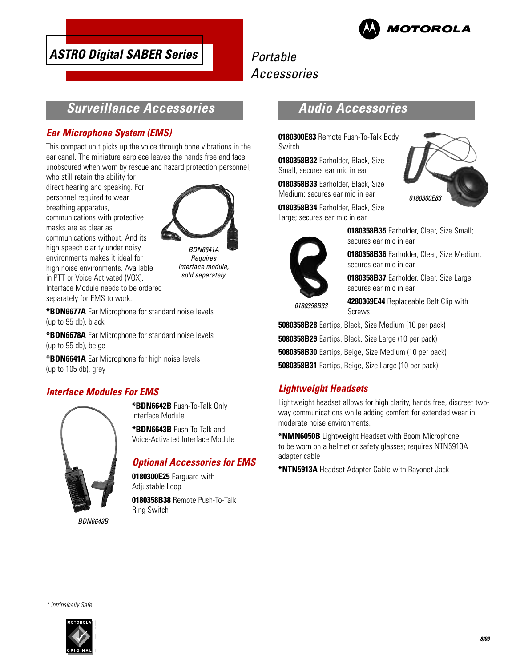

# Portable Accessories

## **Surveillance Accessories**

### **Ear Microphone System (EMS)**

This compact unit picks up the voice through bone vibrations in the ear canal. The miniature earpiece leaves the hands free and face unobscured when worn by rescue and hazard protection personnel,

who still retain the ability for direct hearing and speaking. For personnel required to wear breathing apparatus, communications with protective masks are as clear as communications without. And its high speech clarity under noisy environments makes it ideal for high noise environments. Available in PTT or Voice Activated (VOX). Interface Module needs to be ordered separately for EMS to work.



BDN6641A **Requires** interface module, sold separately

**\*BDN6677A** Ear Microphone for standard noise levels (up to 95 db), black

**\*BDN6678A** Ear Microphone for standard noise levels (up to 95 db), beige

**\*BDN6641A** Ear Microphone for high noise levels (up to 105 db), grey

### **Interface Modules For EMS**



**\*BDN6642B** Push-To-Talk Only Interface Module

**\*BDN6643B** Push-To-Talk and Voice-Activated Interface Module

### **Optional Accessories for EMS**

**0180300E25** Earguard with Adjustable Loop **0180358B38** Remote Push-To-Talk Ring Switch

# **Audio Accessories**

**0180300E83** Remote Push-To-Talk Body Switch

**0180358B32** Earholder, Black, Size Small; secures ear mic in ear

**0180358B33** Earholder, Black, Size Medium; secures ear mic in ear

**0180358B34** Earholder, Black, Size Large; secures ear mic in ear



**0180358B35** Earholder, Clear, Size Small; secures ear mic in ear

**0180358B36** Earholder, Clear, Size Medium; secures ear mic in ear

**0180358B37** Earholder, Clear, Size Large; secures ear mic in ear

0180358B33

**4280369E44** Replaceable Belt Clip with Screws

**5080358B28** Eartips, Black, Size Medium (10 per pack) **5080358B29** Eartips, Black, Size Large (10 per pack) **5080358B30** Eartips, Beige, Size Medium (10 per pack) **5080358B31** Eartips, Beige, Size Large (10 per pack)

### **Lightweight Headsets**

Lightweight headset allows for high clarity, hands free, discreet twoway communications while adding comfort for extended wear in moderate noise environments.

**\*NMN6050B** Lightweight Headset with Boom Microphone, to be worn on a helmet or safety glasses; requires NTN5913A adapter cable

**\*NTN5913A** Headset Adapter Cable with Bayonet Jack

\* Intrinsically Safe



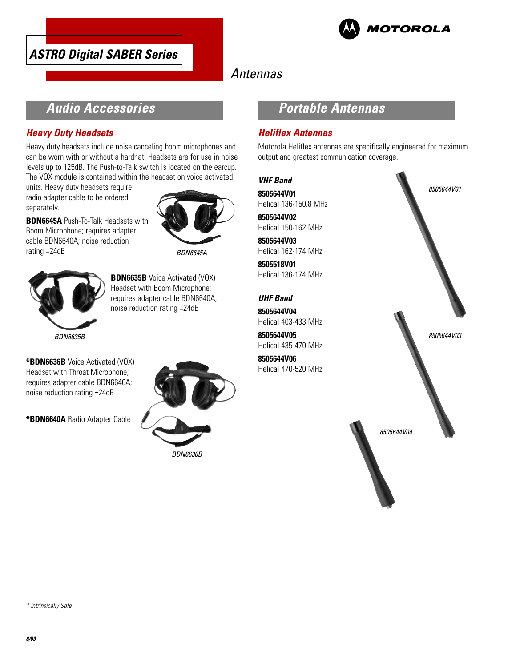



# Antennas

# **Audio Accessories**

### **Heavy Duty Headsets**

Heavy duty headsets include noise canceling boom microphones and can be worn with or without a hardhat. Headsets are for use in noise levels up to 125dB. The Push-to-Talk switch is located on the earcup. The VOX module is contained within the headset on voice activated

units. Heavy duty headsets require radio adapter cable to be ordered separately.

**BDN6645A** Push-To-Talk Headsets with Boom Microphone; requires adapter cable BDN6640A; noise reduction rating =24dB



BDN6645A



**BDN6635B** Voice Activated (VOX) Headset with Boom Microphone; requires adapter cable BDN6640A; noise reduction rating =24dB

**\*BDN6636B** Voice Activated (VOX) Headset with Throat Microphone; requires adapter cable BDN6640A; noise reduction rating =24dB

**\*BDN6640A** Radio Adapter Cable



# **Portable Antennas**

### **Heliflex Antennas**

Motorola Heliflex antennas are specifically engineered for maximum output and greatest communication coverage.



\* Intrinsically Safe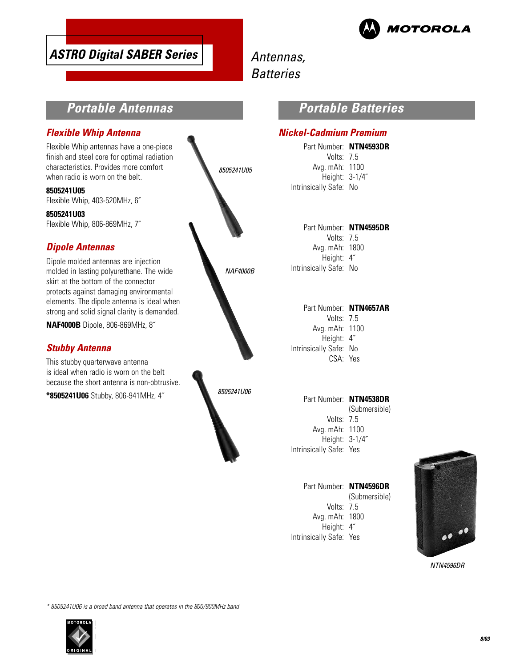

# Antennas, **Batteries**

# **Portable Antennas**

### **Flexible Whip Antenna**

Flexible Whip antennas have a one-piece finish and steel core for optimal radiation characteristics. Provides more comfort when radio is worn on the belt.

**8505241U05** Flexible Whip, 403-520MHz, 6˝

**8505241U03**

Flexible Whip, 806-869MHz, 7˝

## **Dipole Antennas**

Dipole molded antennas are injection molded in lasting polyurethane. The wide skirt at the bottom of the connector protects against damaging environmental elements. The dipole antenna is ideal when strong and solid signal clarity is demanded.

**NAF4000B** Dipole, 806-869MHz, 8˝

### **Stubby Antenna**

This stubby quarterwave antenna is ideal when radio is worn on the belt because the short antenna is non-obtrusive.

**\*8505241U06** Stubby, 806-941MHz, 4˝



## **Portable Batteries**

### **Nickel-Cadmium Premium**

Part Number: **NTN4593DR** Volts: 7.5 Avg. mAh: 1100 Height: 3-1/4˝ Intrinsically Safe: No

Part Number: **NTN4595DR** Volts: 7.5 Avg. mAh: 1800 Height: 4˝ Intrinsically Safe: No

Part Number: **NTN4657AR** Volts: 7.5 Avg. mAh: 1100 Height: 4˝ Intrinsically Safe: No CSA: Yes

Part Number: **NTN4538DR** (Submersible) Volts: 7.5 Avg. mAh: 1100 Height: 3-1/4˝ Intrinsically Safe: Yes

Part Number: **NTN4596DR** (Submersible) Volts: 7.5 Avg. mAh: 1800 Height: 4˝ Intrinsically Safe: Yes



NTN4596DR

\* 8505241U06 is a broad band antenna that operates in the 800/900MHz band

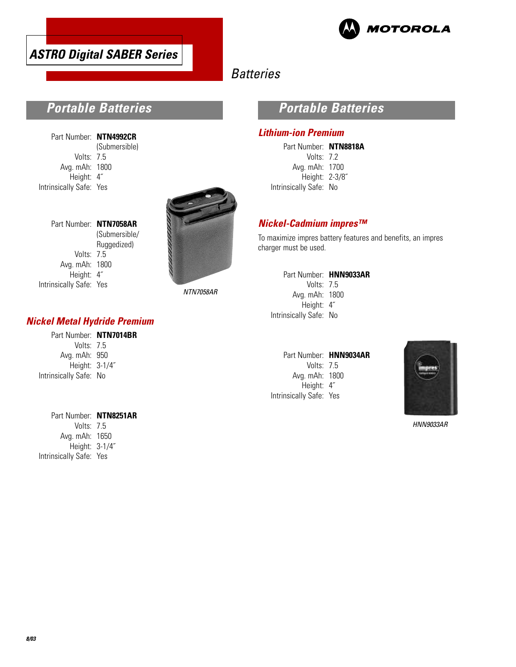



# **Batteries**

# **Portable Batteries**

Part Number: **NTN4992CR** (Submersible) Volts: 7.5 Avg. mAh: 1800 Height: 4˝ Intrinsically Safe: Yes

Part Number: **NTN7058AR**

Volts: 7.5 Avg. mAh: 1800 Height: 4˝

Intrinsically Safe: Yes

(Submersible/ Ruggedized)



NTN7058AR

### **Nickel Metal Hydride Premium**

| Part Number: NTN7014BR |  |
|------------------------|--|
| Volts: 7.5             |  |
| Avg. mAh: 950          |  |
| Height: 3-1/4"         |  |
| Intrinsically Safe: No |  |

#### Part Number: **NTN8251AR**

Volts: 7.5 Avg. mAh: 1650 Height: 3-1/4˝ Intrinsically Safe: Yes

## **Portable Batteries**

#### **Lithium-ion Premium**

Part Number: **NTN8818A** Volts: 7.2 Avg. mAh: 1700 Height: 2-3/8˝ Intrinsically Safe: No

### **Nickel-Cadmium impres™**

To maximize impres battery features and benefits, an impres charger must be used.

| Part Number: HNN9033AR |
|------------------------|
| Volts: $75$            |
| Avg. mAh: 1800         |
| Height: 4"             |
| Intrinsically Safe: No |
|                        |

|                         | Part Number: HNN9034AR |
|-------------------------|------------------------|
| Volts: $7.5$            |                        |
| Avg. mAh: 1800          |                        |
| Height: 4"              |                        |
| Intrinsically Safe: Yes |                        |



HNN9033AR